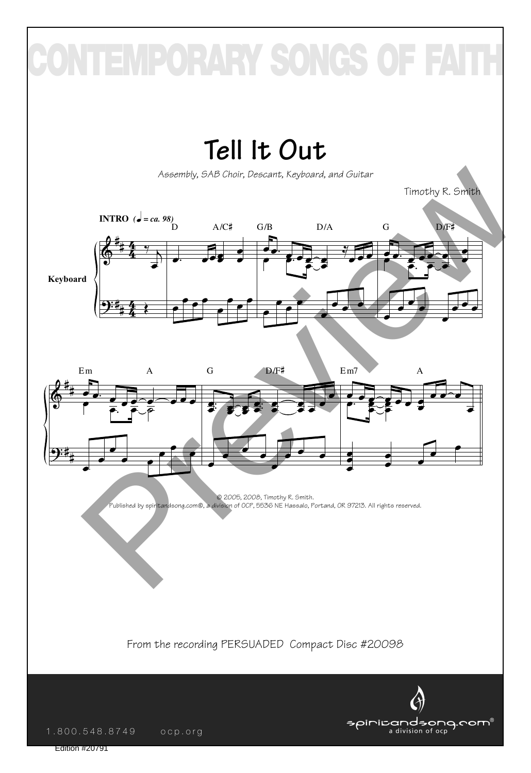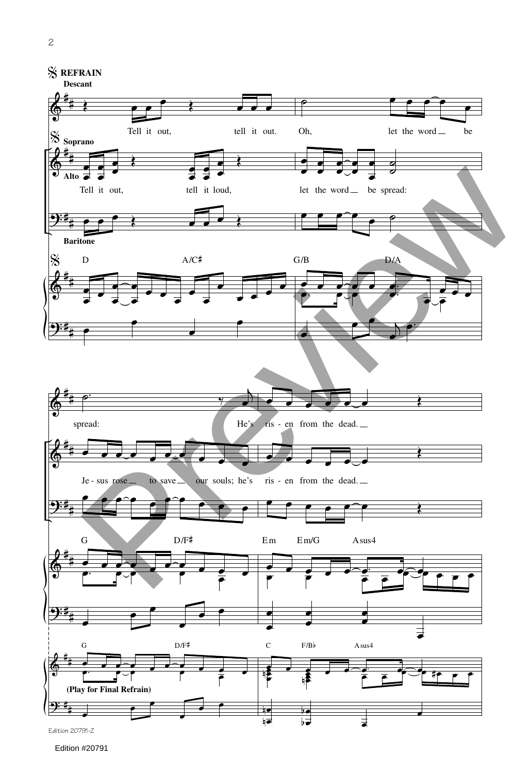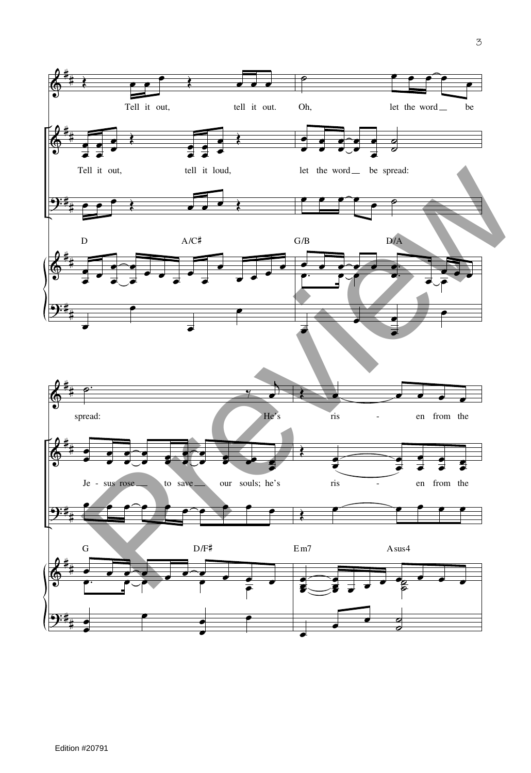

Edition #20791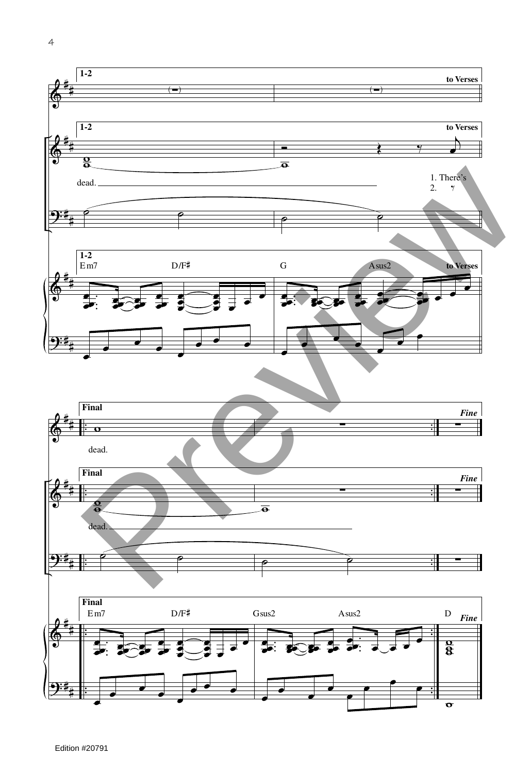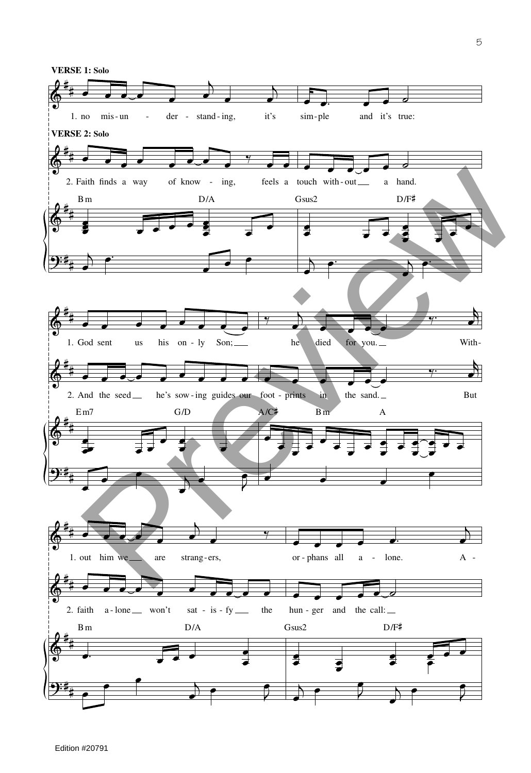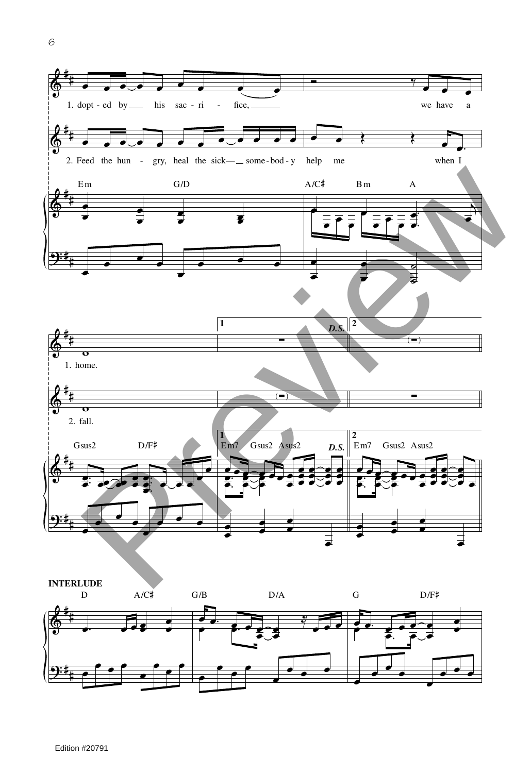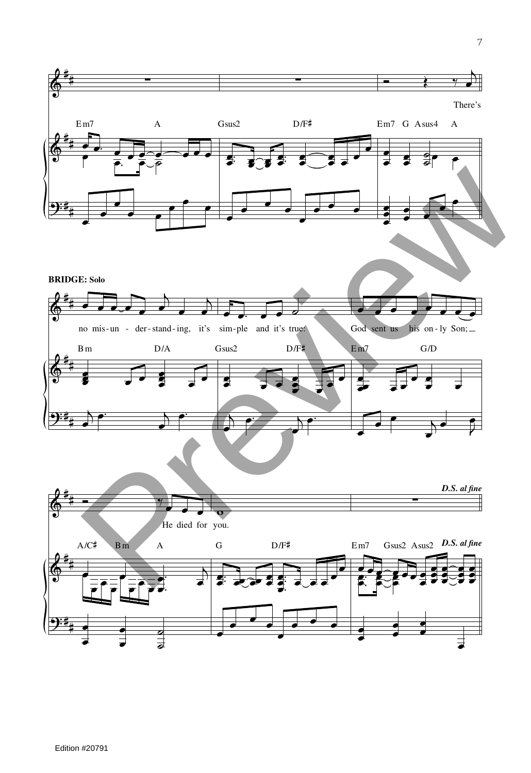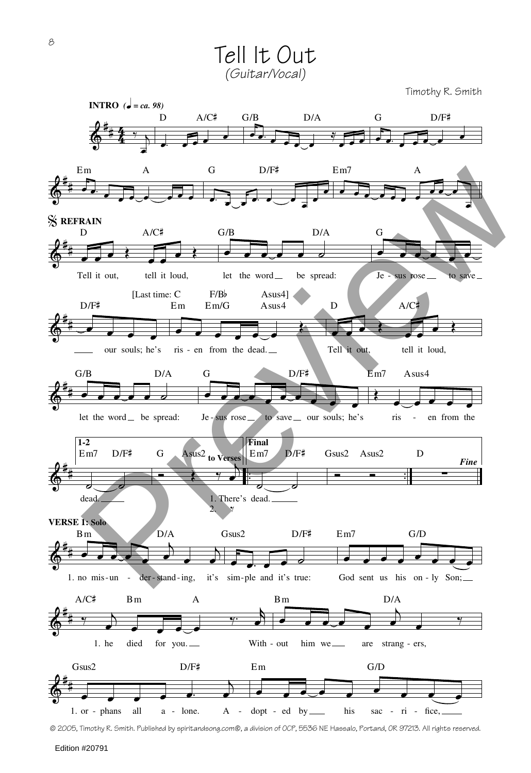Tell It Out *(Guitar/Vocal)*



<sup>©</sup> 2005, Timothy R. Smith. Published by spiritandsong.com®, a division of OCP, 5536 NE Hassalo, Portand, OR 97213. All rights reserved.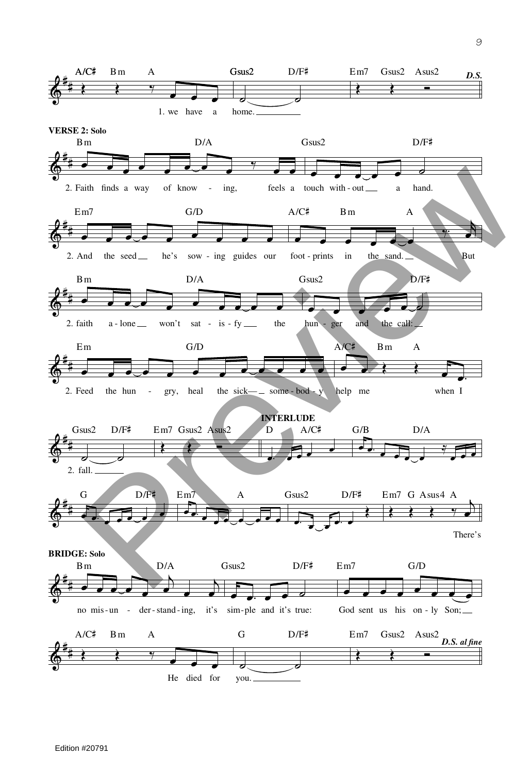

 $\mathcal{O}% _{M}\left( \mathcal{S}\right)$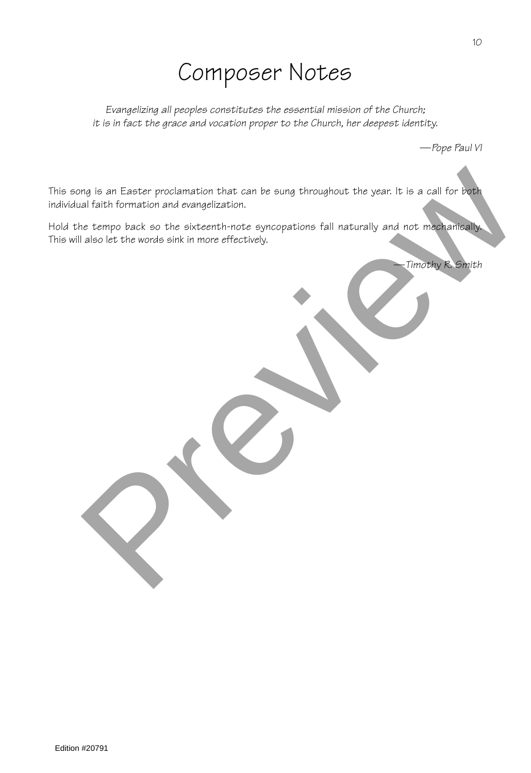## Composer Notes

*Evangelizing all peoples constitutes the essential mission of the Church; it is in fact the grace and vocation proper to the Church, her deepest identity.*

*—Pope Paul VI*

*—Timothy R. Smith*

This song is an Easter proclamation that can be sung throughout the year. It is a call for both individual faith formation and evangelization.

Hold the tempo back so the sixteenth-note syncopations fall naturally and not mechanically. This will also let the words sink in more effectively. ong is an Easter proclamation that can be sung throughout the year. It is a call for leads<br>an initiative formation and ovaragelization.<br>He tempo back so the sixteenth-riote syncopations fall naturally and not more marked m

Edition #20791